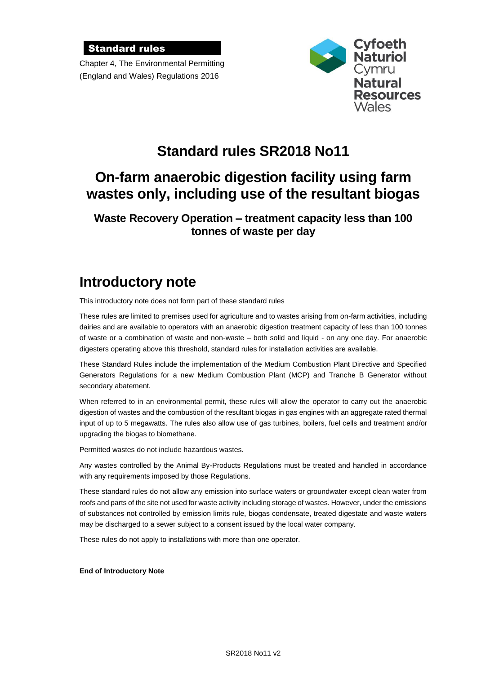### Standard rules

Chapter 4, The Environmental Permitting (England and Wales) Regulations 2016



# **Standard rules SR2018 No11**

# **On-farm anaerobic digestion facility using farm wastes only, including use of the resultant biogas**

### **Waste Recovery Operation – treatment capacity less than 100 tonnes of waste per day**

# **Introductory note**

This introductory note does not form part of these standard rules

These rules are limited to premises used for agriculture and to wastes arising from on-farm activities, including dairies and are available to operators with an anaerobic digestion treatment capacity of less than 100 tonnes of waste or a combination of waste and non-waste – both solid and liquid - on any one day. For anaerobic digesters operating above this threshold, standard rules for installation activities are available.

These Standard Rules include the implementation of the Medium Combustion Plant Directive and Specified Generators Regulations for a new Medium Combustion Plant (MCP) and Tranche B Generator without secondary abatement.

When referred to in an environmental permit, these rules will allow the operator to carry out the anaerobic digestion of wastes and the combustion of the resultant biogas in gas engines with an aggregate rated thermal input of up to 5 megawatts. The rules also allow use of gas turbines, boilers, fuel cells and treatment and/or upgrading the biogas to biomethane.

Permitted wastes do not include hazardous wastes.

Any wastes controlled by the Animal By-Products Regulations must be treated and handled in accordance with any requirements imposed by those Regulations.

These standard rules do not allow any emission into surface waters or groundwater except clean water from roofs and parts of the site not used for waste activity including storage of wastes. However, under the emissions of substances not controlled by emission limits rule, biogas condensate, treated digestate and waste waters may be discharged to a sewer subject to a consent issued by the local water company.

These rules do not apply to installations with more than one operator.

#### **End of Introductory Note**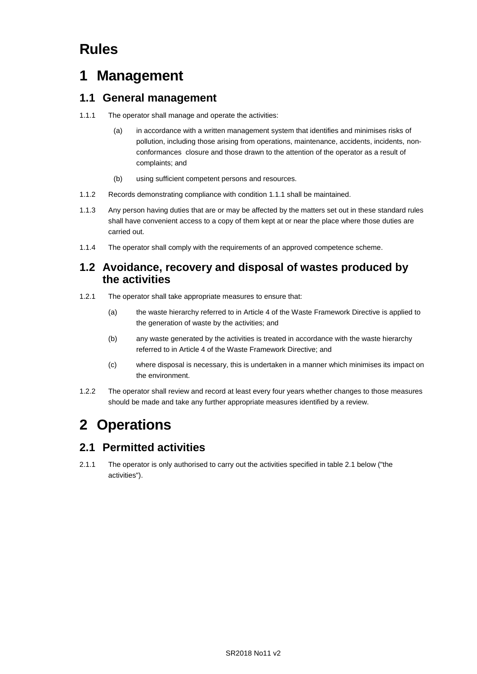# **Rules**

# **1 Management**

### **1.1 General management**

- 1.1.1 The operator shall manage and operate the activities:
	- (a) in accordance with a written management system that identifies and minimises risks of pollution, including those arising from operations, maintenance, accidents, incidents, nonconformances closure and those drawn to the attention of the operator as a result of complaints; and
	- (b) using sufficient competent persons and resources.
- 1.1.2 Records demonstrating compliance with condition 1.1.1 shall be maintained.
- 1.1.3 Any person having duties that are or may be affected by the matters set out in these standard rules shall have convenient access to a copy of them kept at or near the place where those duties are carried out.
- 1.1.4 The operator shall comply with the requirements of an approved competence scheme.

### **1.2 Avoidance, recovery and disposal of wastes produced by the activities**

- 1.2.1 The operator shall take appropriate measures to ensure that:
	- (a) the waste hierarchy referred to in Article 4 of the Waste Framework Directive is applied to the generation of waste by the activities; and
	- (b) any waste generated by the activities is treated in accordance with the waste hierarchy referred to in Article 4 of the Waste Framework Directive; and
	- (c) where disposal is necessary, this is undertaken in a manner which minimises its impact on the environment.
- 1.2.2 The operator shall review and record at least every four years whether changes to those measures should be made and take any further appropriate measures identified by a review.

# **2 Operations**

### **2.1 Permitted activities**

2.1.1 The operator is only authorised to carry out the activities specified in table 2.1 below ("the activities").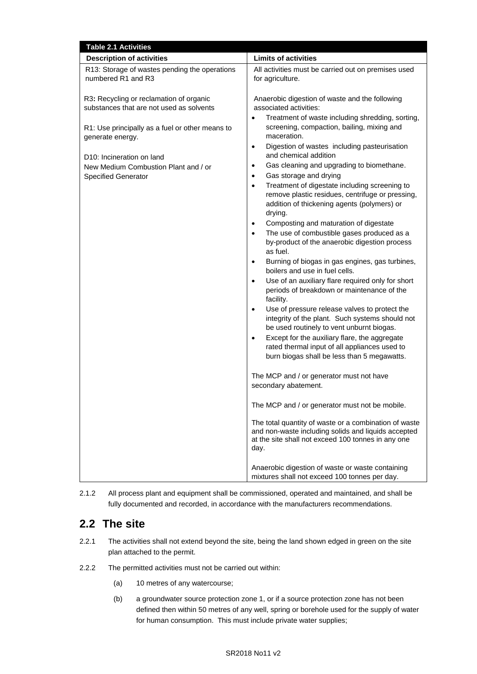| <b>Table 2.1 Activities</b>                                                                                                                                                                                                                                                |                                                                                                                                                                                                                                                                                                                                                                                                                                                                                                                                                                                                                                                                                                                                                                                                                                                                                                                                                                                                                                                                                                                                                                                                                                                                                                                                                                                                                                                                                                                                                                                                                                                                |
|----------------------------------------------------------------------------------------------------------------------------------------------------------------------------------------------------------------------------------------------------------------------------|----------------------------------------------------------------------------------------------------------------------------------------------------------------------------------------------------------------------------------------------------------------------------------------------------------------------------------------------------------------------------------------------------------------------------------------------------------------------------------------------------------------------------------------------------------------------------------------------------------------------------------------------------------------------------------------------------------------------------------------------------------------------------------------------------------------------------------------------------------------------------------------------------------------------------------------------------------------------------------------------------------------------------------------------------------------------------------------------------------------------------------------------------------------------------------------------------------------------------------------------------------------------------------------------------------------------------------------------------------------------------------------------------------------------------------------------------------------------------------------------------------------------------------------------------------------------------------------------------------------------------------------------------------------|
| <b>Description of activities</b>                                                                                                                                                                                                                                           | <b>Limits of activities</b>                                                                                                                                                                                                                                                                                                                                                                                                                                                                                                                                                                                                                                                                                                                                                                                                                                                                                                                                                                                                                                                                                                                                                                                                                                                                                                                                                                                                                                                                                                                                                                                                                                    |
| R13: Storage of wastes pending the operations<br>numbered R1 and R3                                                                                                                                                                                                        | All activities must be carried out on premises used<br>for agriculture.                                                                                                                                                                                                                                                                                                                                                                                                                                                                                                                                                                                                                                                                                                                                                                                                                                                                                                                                                                                                                                                                                                                                                                                                                                                                                                                                                                                                                                                                                                                                                                                        |
| R3: Recycling or reclamation of organic<br>substances that are not used as solvents<br>R1: Use principally as a fuel or other means to<br>generate energy.<br>D <sub>10</sub> : Incineration on land<br>New Medium Combustion Plant and / or<br><b>Specified Generator</b> | Anaerobic digestion of waste and the following<br>associated activities:<br>Treatment of waste including shredding, sorting,<br>$\bullet$<br>screening, compaction, bailing, mixing and<br>maceration.<br>Digestion of wastes including pasteurisation<br>$\bullet$<br>and chemical addition<br>Gas cleaning and upgrading to biomethane.<br>$\bullet$<br>Gas storage and drying<br>$\bullet$<br>Treatment of digestate including screening to<br>$\bullet$<br>remove plastic residues, centrifuge or pressing,<br>addition of thickening agents (polymers) or<br>drying.<br>Composting and maturation of digestate<br>$\bullet$<br>The use of combustible gases produced as a<br>$\bullet$<br>by-product of the anaerobic digestion process<br>as fuel.<br>Burning of biogas in gas engines, gas turbines,<br>$\bullet$<br>boilers and use in fuel cells.<br>Use of an auxiliary flare required only for short<br>$\bullet$<br>periods of breakdown or maintenance of the<br>facility.<br>Use of pressure release valves to protect the<br>$\bullet$<br>integrity of the plant. Such systems should not<br>be used routinely to vent unburnt biogas.<br>Except for the auxiliary flare, the aggregate<br>rated thermal input of all appliances used to<br>burn biogas shall be less than 5 megawatts.<br>The MCP and / or generator must not have<br>secondary abatement.<br>The MCP and / or generator must not be mobile.<br>The total quantity of waste or a combination of waste<br>and non-waste including solids and liquids accepted<br>at the site shall not exceed 100 tonnes in any one<br>day.<br>Anaerobic digestion of waste or waste containing |
|                                                                                                                                                                                                                                                                            | mixtures shall not exceed 100 tonnes per day.                                                                                                                                                                                                                                                                                                                                                                                                                                                                                                                                                                                                                                                                                                                                                                                                                                                                                                                                                                                                                                                                                                                                                                                                                                                                                                                                                                                                                                                                                                                                                                                                                  |



## **2.2 The site**

- 2.2.1 The activities shall not extend beyond the site, being the land shown edged in green on the site plan attached to the permit.
- 2.2.2 The permitted activities must not be carried out within:
	- (a) 10 metres of any watercourse;
	- (b) a groundwater source protection zone 1, or if a source protection zone has not been defined then within 50 metres of any well, spring or borehole used for the supply of water for human consumption. This must include private water supplies;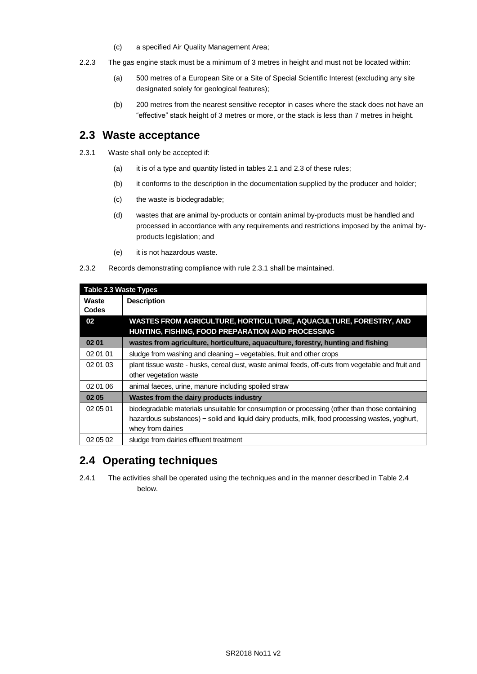- (c) a specified Air Quality Management Area;
- 2.2.3 The gas engine stack must be a minimum of 3 metres in height and must not be located within:
	- (a) 500 metres of a European Site or a Site of Special Scientific Interest (excluding any site designated solely for geological features);
	- (b) 200 metres from the nearest sensitive receptor in cases where the stack does not have an "effective" stack height of 3 metres or more, or the stack is less than 7 metres in height.

### **2.3 Waste acceptance**

- 2.3.1 Waste shall only be accepted if:
	- (a) it is of a type and quantity listed in tables 2.1 and 2.3 of these rules;
	- (b) it conforms to the description in the documentation supplied by the producer and holder;
	- (c) the waste is biodegradable;
	- (d) wastes that are animal by-products or contain animal by-products must be handled and processed in accordance with any requirements and restrictions imposed by the animal byproducts legislation; and
	- (e) it is not hazardous waste.
- 2.3.2 Records demonstrating compliance with rule 2.3.1 shall be maintained.

| Table 2.3 Waste Types |                                                                                                                                                                                                                       |  |  |  |
|-----------------------|-----------------------------------------------------------------------------------------------------------------------------------------------------------------------------------------------------------------------|--|--|--|
| Waste<br><b>Codes</b> | <b>Description</b>                                                                                                                                                                                                    |  |  |  |
| 02                    | WASTES FROM AGRICULTURE, HORTICULTURE, AQUACULTURE, FORESTRY, AND<br>HUNTING, FISHING, FOOD PREPARATION AND PROCESSING                                                                                                |  |  |  |
| 02 01                 | wastes from agriculture, horticulture, aquaculture, forestry, hunting and fishing                                                                                                                                     |  |  |  |
| 02 01 01              | sludge from washing and cleaning – vegetables, fruit and other crops                                                                                                                                                  |  |  |  |
| 02 01 03              | plant tissue waste - husks, cereal dust, waste animal feeds, off-cuts from vegetable and fruit and<br>other vegetation waste                                                                                          |  |  |  |
| 02 01 06              | animal faeces, urine, manure including spoiled straw                                                                                                                                                                  |  |  |  |
| 02 05                 | Wastes from the dairy products industry                                                                                                                                                                               |  |  |  |
| 02 05 01              | biodegradable materials unsuitable for consumption or processing (other than those containing<br>hazardous substances) – solid and liquid dairy products, milk, food processing wastes, yoghurt,<br>whey from dairies |  |  |  |
| 02 05 02              | sludge from dairies effluent treatment                                                                                                                                                                                |  |  |  |

## **2.4 Operating techniques**

2.4.1 The activities shall be operated using the techniques and in the manner described in Table 2.4 below.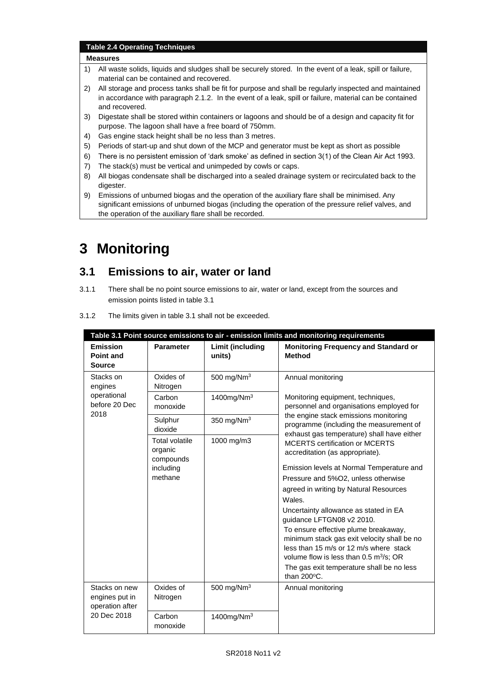#### **Table 2.4 Operating Techniques**

#### **Measures**

- 1) All waste solids, liquids and sludges shall be securely stored. In the event of a leak, spill or failure, material can be contained and recovered.
- 2) All storage and process tanks shall be fit for purpose and shall be regularly inspected and maintained in accordance with paragraph 2.1.2. In the event of a leak, spill or failure, material can be contained and recovered.
- 3) Digestate shall be stored within containers or lagoons and should be of a design and capacity fit for purpose. The lagoon shall have a free board of 750mm.
- 4) Gas engine stack height shall be no less than 3 metres.
- 5) Periods of start-up and shut down of the MCP and generator must be kept as short as possible
- 6) There is no persistent emission of 'dark smoke' as defined in section 3(1) of the Clean Air Act 1993.
- 7) The stack(s) must be vertical and unimpeded by cowls or caps.
- 8) All biogas condensate shall be discharged into a sealed drainage system or recirculated back to the digester.
- 9) Emissions of unburned biogas and the operation of the auxiliary flare shall be minimised. Any significant emissions of unburned biogas (including the operation of the pressure relief valves, and the operation of the auxiliary flare shall be recorded.

# **3 Monitoring**

### **3.1 Emissions to air, water or land**

3.1.1 There shall be no point source emissions to air, water or land, except from the sources and emission points listed in table 3.1

| Table 3.1 Point source emissions to air - emission limits and monitoring requirements |                                                                       |                                                                                                                                                                                                                      |                                                                                                                                                                                                                                                                                                                         |  |  |
|---------------------------------------------------------------------------------------|-----------------------------------------------------------------------|----------------------------------------------------------------------------------------------------------------------------------------------------------------------------------------------------------------------|-------------------------------------------------------------------------------------------------------------------------------------------------------------------------------------------------------------------------------------------------------------------------------------------------------------------------|--|--|
| <b>Emission</b><br><b>Point and</b><br><b>Source</b>                                  | <b>Parameter</b>                                                      | Limit (including<br>units)                                                                                                                                                                                           | <b>Monitoring Frequency and Standard or</b><br><b>Method</b>                                                                                                                                                                                                                                                            |  |  |
| Stacks on<br>engines<br>operational<br>before 20 Dec<br>2018                          | Oxides of<br>Nitrogen                                                 | 500 mg/ $Nm3$                                                                                                                                                                                                        | Annual monitoring<br>Monitoring equipment, techniques,<br>personnel and organisations employed for<br>the engine stack emissions monitoring<br>programme (including the measurement of                                                                                                                                  |  |  |
|                                                                                       | Carbon<br>monoxide                                                    | 1400 $mg/Nm3$                                                                                                                                                                                                        |                                                                                                                                                                                                                                                                                                                         |  |  |
|                                                                                       | Sulphur<br>dioxide                                                    | 350 mg/ $Nm3$                                                                                                                                                                                                        |                                                                                                                                                                                                                                                                                                                         |  |  |
|                                                                                       | <b>Total volatile</b><br>organic<br>compounds<br>including<br>methane | exhaust gas temperature) shall have either<br>1000 mg/m3<br><b>MCERTS certification or MCERTS</b><br>accreditation (as appropriate).<br>Wales.<br>Uncertainty allowance as stated in EA<br>guidance LFTGN08 v2 2010. | Emission levels at Normal Temperature and<br>Pressure and 5%O2, unless otherwise<br>agreed in writing by Natural Resources<br>To ensure effective plume breakaway,<br>minimum stack gas exit velocity shall be no<br>less than 15 m/s or 12 m/s where stack<br>volume flow is less than $0.5 \text{ m}^3/\text{s}$ ; OR |  |  |
|                                                                                       |                                                                       |                                                                                                                                                                                                                      | The gas exit temperature shall be no less<br>than 200°C.                                                                                                                                                                                                                                                                |  |  |
| Stacks on new<br>engines put in<br>operation after<br>20 Dec 2018                     | Oxides of<br>Nitrogen                                                 | 500 mg/Nm $3$                                                                                                                                                                                                        | Annual monitoring                                                                                                                                                                                                                                                                                                       |  |  |
|                                                                                       | Carbon<br>monoxide                                                    | 1400 $mg/Nm3$                                                                                                                                                                                                        |                                                                                                                                                                                                                                                                                                                         |  |  |

3.1.2 The limits given in table 3.1 shall not be exceeded.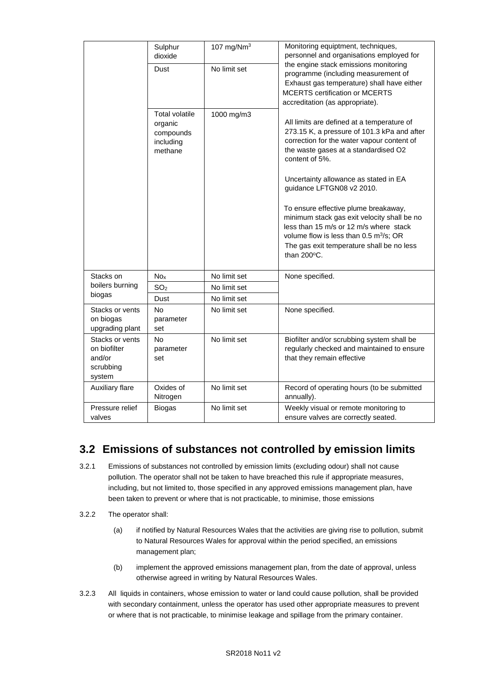|                                                                  | Sulphur<br>dioxide                                                    | 107 mg/ $Nm3$ | Monitoring equiptment, techniques,<br>personnel and organisations employed for<br>the engine stack emissions monitoring<br>programme (including measurement of<br>Exhaust gas temperature) shall have either<br><b>MCERTS certification or MCERTS</b><br>accreditation (as appropriate).<br>All limits are defined at a temperature of<br>273.15 K, a pressure of 101.3 kPa and after<br>correction for the water vapour content of<br>the waste gases at a standardised O2<br>content of 5%.<br>Uncertainty allowance as stated in EA<br>guidance LFTGN08 v2 2010.<br>To ensure effective plume breakaway,<br>minimum stack gas exit velocity shall be no<br>less than 15 m/s or 12 m/s where stack<br>volume flow is less than 0.5 m <sup>3</sup> /s; OR<br>The gas exit temperature shall be no less<br>than 200°C. |
|------------------------------------------------------------------|-----------------------------------------------------------------------|---------------|------------------------------------------------------------------------------------------------------------------------------------------------------------------------------------------------------------------------------------------------------------------------------------------------------------------------------------------------------------------------------------------------------------------------------------------------------------------------------------------------------------------------------------------------------------------------------------------------------------------------------------------------------------------------------------------------------------------------------------------------------------------------------------------------------------------------|
|                                                                  | Dust                                                                  | No limit set  |                                                                                                                                                                                                                                                                                                                                                                                                                                                                                                                                                                                                                                                                                                                                                                                                                        |
|                                                                  | <b>Total volatile</b><br>organic<br>compounds<br>including<br>methane | 1000 mg/m3    |                                                                                                                                                                                                                                                                                                                                                                                                                                                                                                                                                                                                                                                                                                                                                                                                                        |
| Stacks on                                                        | No <sub>x</sub>                                                       | No limit set  | None specified.                                                                                                                                                                                                                                                                                                                                                                                                                                                                                                                                                                                                                                                                                                                                                                                                        |
| boilers burning                                                  | SO <sub>2</sub>                                                       | No limit set  |                                                                                                                                                                                                                                                                                                                                                                                                                                                                                                                                                                                                                                                                                                                                                                                                                        |
| biogas                                                           | Dust                                                                  | No limit set  |                                                                                                                                                                                                                                                                                                                                                                                                                                                                                                                                                                                                                                                                                                                                                                                                                        |
| Stacks or vents<br>on biogas<br>upgrading plant                  | <b>No</b><br>parameter<br>set                                         | No limit set  | None specified.                                                                                                                                                                                                                                                                                                                                                                                                                                                                                                                                                                                                                                                                                                                                                                                                        |
| Stacks or vents<br>on biofilter<br>and/or<br>scrubbing<br>system | <b>No</b><br>parameter<br>set                                         | No limit set  | Biofilter and/or scrubbing system shall be<br>regularly checked and maintained to ensure<br>that they remain effective                                                                                                                                                                                                                                                                                                                                                                                                                                                                                                                                                                                                                                                                                                 |
| Auxiliary flare                                                  | Oxides of<br>Nitrogen                                                 | No limit set  | Record of operating hours (to be submitted<br>annually).                                                                                                                                                                                                                                                                                                                                                                                                                                                                                                                                                                                                                                                                                                                                                               |
| Pressure relief<br>valves                                        | <b>Biogas</b>                                                         | No limit set  | Weekly visual or remote monitoring to<br>ensure valves are correctly seated.                                                                                                                                                                                                                                                                                                                                                                                                                                                                                                                                                                                                                                                                                                                                           |

## **3.2 Emissions of substances not controlled by emission limits**

- 3.2.1 Emissions of substances not controlled by emission limits (excluding odour) shall not cause pollution. The operator shall not be taken to have breached this rule if appropriate measures, including, but not limited to, those specified in any approved emissions management plan, have been taken to prevent or where that is not practicable, to minimise, those emissions
- 3.2.2 The operator shall:
	- (a) if notified by Natural Resources Wales that the activities are giving rise to pollution, submit to Natural Resources Wales for approval within the period specified, an emissions management plan;
	- (b) implement the approved emissions management plan, from the date of approval, unless otherwise agreed in writing by Natural Resources Wales.
- 3.2.3 All liquids in containers, whose emission to water or land could cause pollution, shall be provided with secondary containment, unless the operator has used other appropriate measures to prevent or where that is not practicable, to minimise leakage and spillage from the primary container.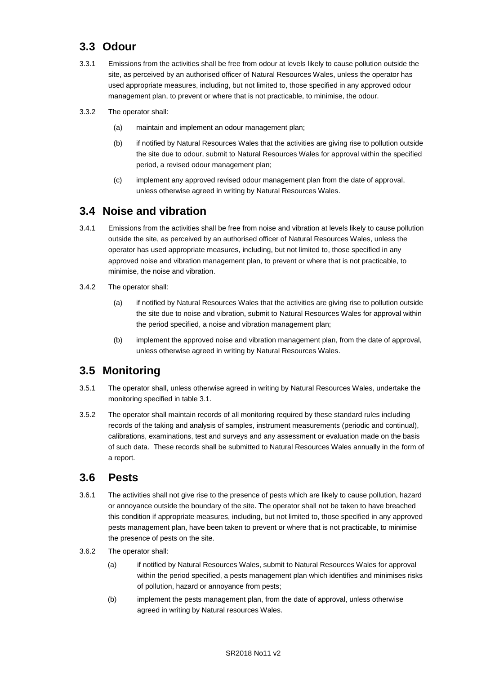## **3.3 Odour**

- 3.3.1 Emissions from the activities shall be free from odour at levels likely to cause pollution outside the site, as perceived by an authorised officer of Natural Resources Wales, unless the operator has used appropriate measures, including, but not limited to, those specified in any approved odour management plan, to prevent or where that is not practicable, to minimise, the odour.
- 3.3.2 The operator shall:
	- (a) maintain and implement an odour management plan;
	- (b) if notified by Natural Resources Wales that the activities are giving rise to pollution outside the site due to odour, submit to Natural Resources Wales for approval within the specified period, a revised odour management plan;
	- (c) implement any approved revised odour management plan from the date of approval, unless otherwise agreed in writing by Natural Resources Wales.

### **3.4 Noise and vibration**

- 3.4.1 Emissions from the activities shall be free from noise and vibration at levels likely to cause pollution outside the site, as perceived by an authorised officer of Natural Resources Wales, unless the operator has used appropriate measures, including, but not limited to, those specified in any approved noise and vibration management plan, to prevent or where that is not practicable, to minimise, the noise and vibration.
- 3.4.2 The operator shall:
	- (a) if notified by Natural Resources Wales that the activities are giving rise to pollution outside the site due to noise and vibration, submit to Natural Resources Wales for approval within the period specified, a noise and vibration management plan;
	- (b) implement the approved noise and vibration management plan, from the date of approval, unless otherwise agreed in writing by Natural Resources Wales.

## **3.5 Monitoring**

- 3.5.1 The operator shall, unless otherwise agreed in writing by Natural Resources Wales, undertake the monitoring specified in table 3.1.
- 3.5.2 The operator shall maintain records of all monitoring required by these standard rules including records of the taking and analysis of samples, instrument measurements (periodic and continual), calibrations, examinations, test and surveys and any assessment or evaluation made on the basis of such data. These records shall be submitted to Natural Resources Wales annually in the form of a report.

### **3.6 Pests**

- 3.6.1 The activities shall not give rise to the presence of pests which are likely to cause pollution, hazard or annoyance outside the boundary of the site. The operator shall not be taken to have breached this condition if appropriate measures, including, but not limited to, those specified in any approved pests management plan, have been taken to prevent or where that is not practicable, to minimise the presence of pests on the site.
- 3.6.2 The operator shall:
	- (a) if notified by Natural Resources Wales, submit to Natural Resources Wales for approval within the period specified, a pests management plan which identifies and minimises risks of pollution, hazard or annoyance from pests;
	- (b) implement the pests management plan, from the date of approval, unless otherwise agreed in writing by Natural resources Wales.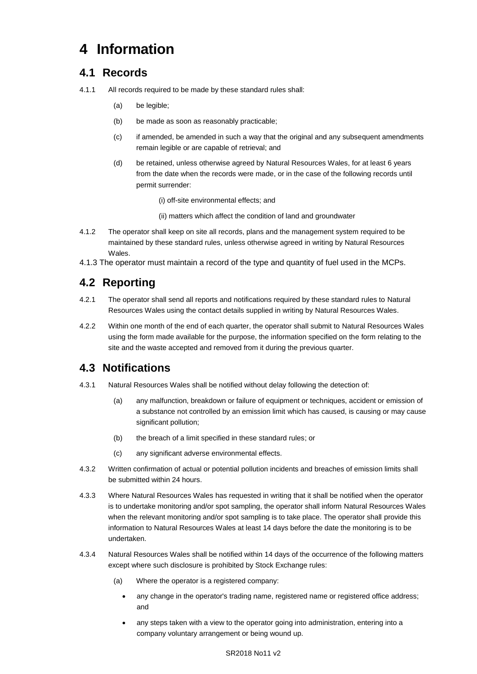# **4 Information**

## **4.1 Records**

- 4.1.1 All records required to be made by these standard rules shall:
	- (a) be legible;
	- (b) be made as soon as reasonably practicable;
	- (c) if amended, be amended in such a way that the original and any subsequent amendments remain legible or are capable of retrieval; and
	- (d) be retained, unless otherwise agreed by Natural Resources Wales, for at least 6 years from the date when the records were made, or in the case of the following records until permit surrender:
		- (i) off-site environmental effects; and
		- (ii) matters which affect the condition of land and groundwater
- 4.1.2 The operator shall keep on site all records, plans and the management system required to be maintained by these standard rules, unless otherwise agreed in writing by Natural Resources Wales.
- 4.1.3 The operator must maintain a record of the type and quantity of fuel used in the MCPs.

## **4.2 Reporting**

- 4.2.1 The operator shall send all reports and notifications required by these standard rules to Natural Resources Wales using the contact details supplied in writing by Natural Resources Wales.
- 4.2.2 Within one month of the end of each quarter, the operator shall submit to Natural Resources Wales using the form made available for the purpose, the information specified on the form relating to the site and the waste accepted and removed from it during the previous quarter.

## **4.3 Notifications**

- 4.3.1 Natural Resources Wales shall be notified without delay following the detection of:
	- (a) any malfunction, breakdown or failure of equipment or techniques, accident or emission of a substance not controlled by an emission limit which has caused, is causing or may cause significant pollution;
	- (b) the breach of a limit specified in these standard rules; or
	- (c) any significant adverse environmental effects.
- 4.3.2 Written confirmation of actual or potential pollution incidents and breaches of emission limits shall be submitted within 24 hours.
- 4.3.3 Where Natural Resources Wales has requested in writing that it shall be notified when the operator is to undertake monitoring and/or spot sampling, the operator shall inform Natural Resources Wales when the relevant monitoring and/or spot sampling is to take place. The operator shall provide this information to Natural Resources Wales at least 14 days before the date the monitoring is to be undertaken.
- 4.3.4 Natural Resources Wales shall be notified within 14 days of the occurrence of the following matters except where such disclosure is prohibited by Stock Exchange rules:
	- (a) Where the operator is a registered company:
		- any change in the operator's trading name, registered name or registered office address; and
		- any steps taken with a view to the operator going into administration, entering into a company voluntary arrangement or being wound up.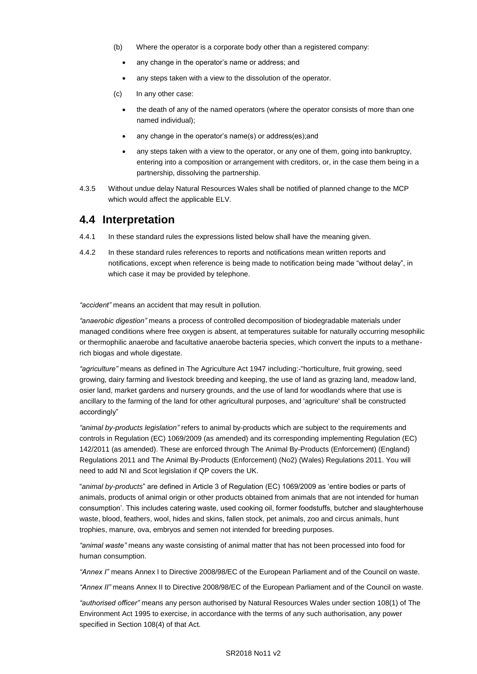- (b) Where the operator is a corporate body other than a registered company:
	- any change in the operator's name or address; and
	- any steps taken with a view to the dissolution of the operator.
- (c) In any other case:
	- the death of any of the named operators (where the operator consists of more than one named individual);
	- any change in the operator's name(s) or address(es);and
	- any steps taken with a view to the operator, or any one of them, going into bankruptcy, entering into a composition or arrangement with creditors, or, in the case them being in a partnership, dissolving the partnership.
- 4.3.5 Without undue delay Natural Resources Wales shall be notified of planned change to the MCP which would affect the applicable ELV.

### **4.4 Interpretation**

- 4.4.1 In these standard rules the expressions listed below shall have the meaning given.
- 4.4.2 In these standard rules references to reports and notifications mean written reports and notifications, except when reference is being made to notification being made "without delay", in which case it may be provided by telephone.

*"accident"* means an accident that may result in pollution.

*"anaerobic digestion"* means a process of controlled decomposition of biodegradable materials under managed conditions where free oxygen is absent, at temperatures suitable for naturally occurring mesophilic or thermophilic anaerobe and facultative anaerobe bacteria species, which convert the inputs to a methanerich biogas and whole digestate.

*"agriculture"* means as defined in The Agriculture Act 1947 including:-"horticulture, fruit growing, seed growing, dairy farming and livestock breeding and keeping, the use of land as grazing land, meadow land, osier land, market gardens and nursery grounds, and the use of land for woodlands where that use is ancillary to the farming of the land for other agricultural purposes, and 'agriculture' shall be constructed accordingly"

*"animal by-products legislation"* refers to animal by-products which are subject to the requirements and controls in Regulation (EC) 1069/2009 (as amended) and its corresponding implementing Regulation (EC) 142/2011 (as amended). These are enforced through The Animal By-Products (Enforcement) (England) Regulations 2011 and The Animal By-Products (Enforcement) (No2) (Wales) Regulations 2011. You will need to add NI and Scot legislation if QP covers the UK.

"*animal by-products*" are defined in Article 3 of Regulation (EC) 1069/2009 as 'entire bodies or parts of animals, products of animal origin or other products obtained from animals that are not intended for human consumption'. This includes catering waste, used cooking oil, former foodstuffs, butcher and slaughterhouse waste, blood, feathers, wool, hides and skins, fallen stock, pet animals, zoo and circus animals, hunt trophies, manure, ova, embryos and semen not intended for breeding purposes.

*"animal waste"* means any waste consisting of animal matter that has not been processed into food for human consumption.

*"Annex I"* means Annex I to Directive 2008/98/EC of the European Parliament and of the Council on waste.

*"Annex II"* means Annex II to Directive 2008/98/EC of the European Parliament and of the Council on waste.

*"authorised officer"* means any person authorised by Natural Resources Wales under section 108(1) of The Environment Act 1995 to exercise, in accordance with the terms of any such authorisation, any power specified in Section 108(4) of that Act*.*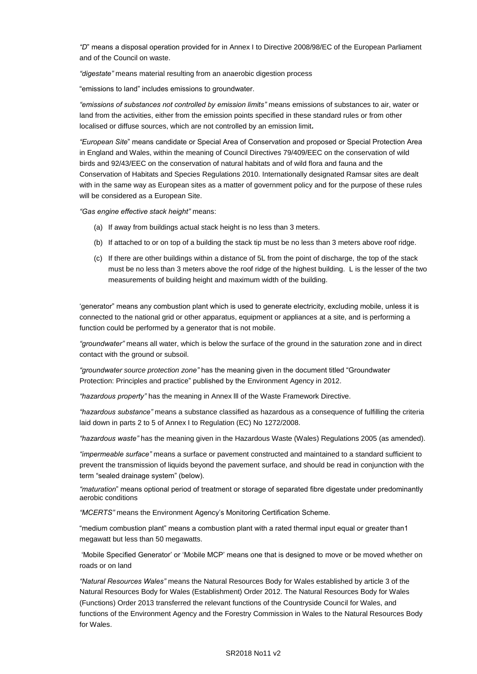*"D*" means a disposal operation provided for in Annex I to Directive 2008/98/EC of the European Parliament and of the Council on waste.

*"digestate"* means material resulting from an anaerobic digestion process

"emissions to land" includes emissions to groundwater.

*"emissions of substances not controlled by emission limits"* means emissions of substances to air, water or land from the activities, either from the emission points specified in these standard rules or from other localised or diffuse sources, which are not controlled by an emission limit**.**

*"European Site*" means candidate or Special Area of Conservation and proposed or Special Protection Area in England and Wales, within the meaning of Council Directives 79/409/EEC on the conservation of wild birds and 92/43/EEC on the conservation of natural habitats and of wild flora and fauna and the Conservation of Habitats and Species Regulations 2010. Internationally designated Ramsar sites are dealt with in the same way as European sites as a matter of government policy and for the purpose of these rules will be considered as a European Site.

*"Gas engine effective stack height"* means:

- (a) If away from buildings actual stack height is no less than 3 meters.
- (b) If attached to or on top of a building the stack tip must be no less than 3 meters above roof ridge.
- (c) If there are other buildings within a distance of 5L from the point of discharge, the top of the stack must be no less than 3 meters above the roof ridge of the highest building. L is the lesser of the two measurements of building height and maximum width of the building.

'generator" means any combustion plant which is used to generate electricity, excluding mobile, unless it is connected to the national grid or other apparatus, equipment or appliances at a site, and is performing a function could be performed by a generator that is not mobile.

*"groundwater"* means all water, which is below the surface of the ground in the saturation zone and in direct contact with the ground or subsoil.

*"groundwater source protection zone"* has the meaning given in the document titled "Groundwater Protection: Principles and practice" published by the Environment Agency in 2012.

*"hazardous property"* has the meaning in Annex lll of the Waste Framework Directive.

*"hazardous substance"* means a substance classified as hazardous as a consequence of fulfilling the criteria laid down in parts 2 to 5 of Annex I to Regulation (EC) No 1272/2008.

*"hazardous waste"* has the meaning given in the Hazardous Waste (Wales) Regulations 2005 (as amended).

*"impermeable surface"* means a surface or pavement constructed and maintained to a standard sufficient to prevent the transmission of liquids beyond the pavement surface, and should be read in conjunction with the term "sealed drainage system" (below).

*"maturation*" means optional period of treatment or storage of separated fibre digestate under predominantly aerobic conditions

*"MCERTS"* means the Environment Agency's Monitoring Certification Scheme.

"medium combustion plant" means a combustion plant with a rated thermal input equal or greater than1 megawatt but less than 50 megawatts.

'Mobile Specified Generator' or 'Mobile MCP' means one that is designed to move or be moved whether on roads or on land

*"Natural Resources Wales"* means the Natural Resources Body for Wales established by article 3 of the Natural Resources Body for Wales (Establishment) Order 2012. The Natural Resources Body for Wales (Functions) Order 2013 transferred the relevant functions of the Countryside Council for Wales, and functions of the Environment Agency and the Forestry Commission in Wales to the Natural Resources Body for Wales.